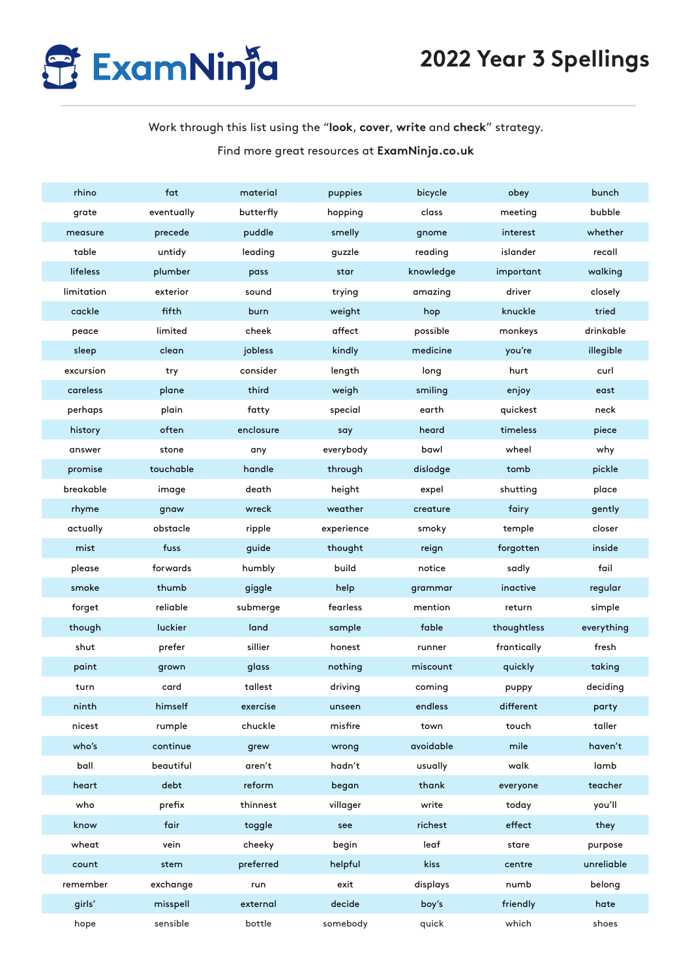

## Work through this list using the "**look**, **cover**, **write** and **check**" strategy. Find more great resources at **ExamNinja.co.uk**

| rhino      | fat        | material  | puppies    | bicycle   | obey        | bunch      |
|------------|------------|-----------|------------|-----------|-------------|------------|
| grate      | eventually | butterfly | hopping    | class     | meeting     | bubble     |
| measure    | precede    | puddle    | smelly     | gnome     | interest    | whether    |
| table      | untidy     | leading   | guzzle     | reading   | islander    | recall     |
| lifeless   | plumber    | pass      | star       | knowledge | important   | walking    |
| limitation | exterior   | sound     | trying     | amazing   | driver      | closely    |
| cackle     | fifth      | burn      | weight     | hop       | knuckle     | tried      |
| peace      | limited    | cheek     | affect     | possible  | monkeys     | drinkable  |
| sleep      | clean      | jobless   | kindly     | medicine  | you're      | illegible  |
| excursion  | try        | consider  | length     | long      | hurt        | curl       |
| careless   | plane      | third     | weigh      | smiling   | enjoy       | east       |
| perhaps    | plain      | fatty     | special    | earth     | quickest    | neck       |
| history    | often      | enclosure | say        | heard     | timeless    | piece      |
| answer     | stone      | any       | everybody  | bawl      | wheel       | why        |
| promise    | touchable  | handle    | through    | dislodge  | tomb        | pickle     |
| breakable  | image      | death     | height     | expel     | shutting    | place      |
| rhyme      | gnaw       | wreck     | weather    | creature  | fairy       | gently     |
| actually   | obstacle   | ripple    | experience | smoky     | temple      | closer     |
| mist       | fuss       | guide     | thought    | reign     | forgotten   | inside     |
| please     | forwards   | humbly    | build      | notice    | sadly       | fail       |
| smoke      | thumb      | giggle    | help       | grammar   | inactive    | regular    |
| forget     | reliable   | submerge  | fearless   | mention   | return      | simple     |
| though     | luckier    | land      | sample     | fable     | thoughtless | everything |
| shut       | prefer     | sillier   | honest     | runner    | frantically | fresh      |
| paint      | grown      | glass     | nothing    | miscount  | quickly     | taking     |
| turn       | card       | tallest   | driving    | coming    | puppy       | deciding   |
| ninth      | himself    | exercise  | unseen     | endless   | different   | party      |
| nicest     | rumple     | chuckle   | misfire    | town      | touch       | taller     |
| who's      | continue   | grew      | wrong      | avoidable | mile        | haven't    |
| ball       | beautiful  | aren't    | hadn't     | usually   | walk        | lamb       |
| heart      | debt       | reform    | began      | thank     | everyone    | teacher    |
| who        | prefix     | thinnest  | villager   | write     | today       | you'll     |
| know       | fair       | toggle    | see        | richest   | effect      | they       |
| wheat      | vein       | cheeky    | begin      | leaf      | stare       | purpose    |
| count      | stem       | preferred | helpful    | kiss      | centre      | unreliable |
| remember   | exchange   | run       | exit       | displays  | numb        | belong     |
| girls'     | misspell   | external  | decide     | boy's     | friendly    | hate       |
| hope       | sensible   | bottle    | somebody   | quick     | which       | shoes      |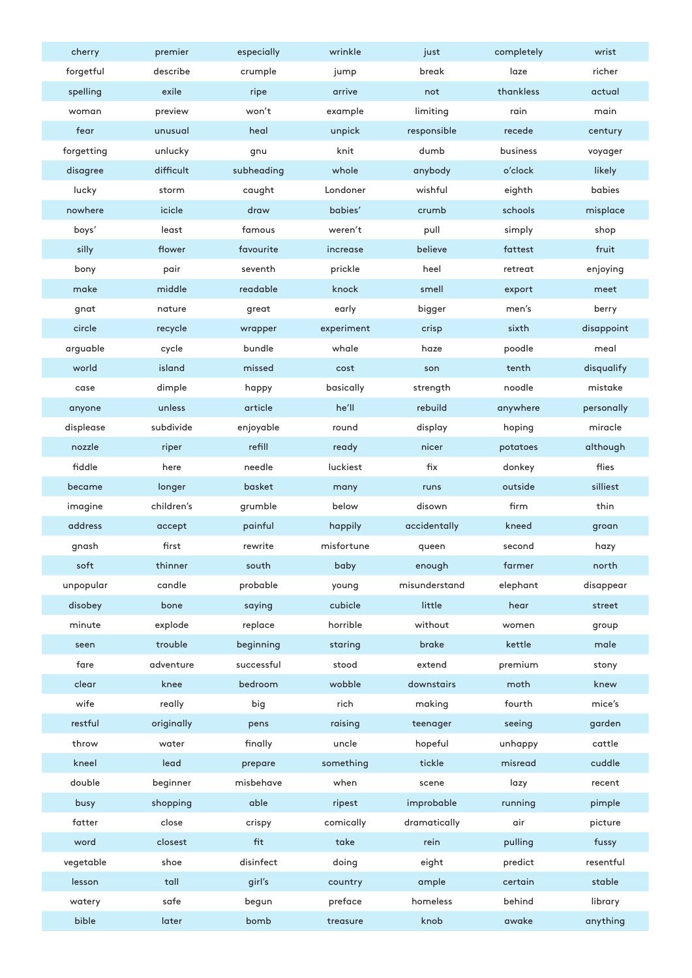| cherry                     | premier    | especially | wrinkle    | just          | completely | wrist      |
|----------------------------|------------|------------|------------|---------------|------------|------------|
| forgetful                  | describe   | crumple    | jump       | break         | laze       | richer     |
| spelling                   | exile      | ripe       | arrive     | not           | thankless  | actual     |
| woman                      | preview    | won't      | example    | limiting      | rain       | main       |
| fear                       | unusual    | heal       | unpick     | responsible   | recede     | century    |
| forgetting                 | unlucky    | gnu        | knit       | dumb          | business   | voyager    |
| disagree                   | difficult  | subheading | whole      | anybody       | o'clock    | likely     |
| lucky                      | storm      | caught     | Londoner   | wishful       | eighth     | babies     |
| nowhere                    | icicle     | draw       | babies'    | crumb         | schools    | misplace   |
| boys'                      | least      | famous     | weren't    | pull          | simply     | shop       |
| silly                      | flower     | favourite  | increase   | believe       | fattest    | fruit      |
| bony                       | pair       | seventh    | prickle    | heel          | retreat    | enjoying   |
| make                       | middle     | readable   | knock      | smell         | export     | meet       |
| gnat                       | nature     | great      | early      | bigger        | men's      | berry      |
| circle                     | recycle    | wrapper    | experiment | crisp         | sixth      | disappoint |
| arguable                   | cycle      | bundle     | whale      | haze          | poodle     | meal       |
| world                      | island     | missed     | cost       | son           | tenth      | disqualify |
| case                       | dimple     | happy      | basically  | strength      | noodle     | mistake    |
| anyone                     | unless     | article    | he'll      | rebuild       | anywhere   | personally |
| displease                  | subdivide  | enjoyable  | round      | display       | hoping     | miracle    |
| nozzle                     | riper      | refill     | ready      | nicer         | potatoes   | although   |
| fiddle                     | here       | needle     | luckiest   | fix           | donkey     | flies      |
| became                     | longer     | basket     | many       | runs          | outside    | silliest   |
| imagine                    | children's | grumble    | below      | disown        | firm       | thin       |
| address                    | accept     | painful    | happily    | accidentally  | kneed      | groan      |
| gnash                      | first      | rewrite    | misfortune | queen         | second     | hazy       |
| soft                       | thinner    | south      | baby       | enough        | farmer     | north      |
| unpopular                  | candle     | probable   | young      | misunderstand | elephant   | disappear  |
| disobey                    | bone       | saying     | cubicle    | little        | hear       | street     |
| $\mathop{\mathsf{minute}}$ | explode    | replace    | horrible   | without       | women      | group      |
| seen                       | trouble    | beginning  | staring    | brake         | kettle     | male       |
| fare                       | adventure  | successful | stood      | extend        | premium    | stony      |
| clear                      | knee       | bedroom    | wobble     | downstairs    | moth       | knew       |
| wife                       | really     | big        | rich       | making        | fourth     | mice's     |
| restful                    | originally | pens       | raising    | teenager      | seeing     | garden     |
| throw                      | water      | finally    | uncle      | hopeful       | unhappy    | cattle     |
| kneel                      | lead       | prepare    | something  | tickle        | misread    | cuddle     |
| double                     | beginner   | misbehave  | when       | scene         | lazy       | recent     |
| busy                       | shopping   | able       | ripest     | improbable    | running    | pimple     |
| fatter                     | close      | crispy     | comically  | dramatically  | air        | picture    |
| word                       | closest    | fit        | take       | rein          | pulling    | fussy      |
| vegetable                  | shoe       | disinfect  | doing      | eight         | predict    | resentful  |
| lesson                     | tall       | girl's     | country    | ample         | certain    | stable     |
| watery                     | safe       | begun      | preface    | homeless      | behind     | library    |
| bible                      | later      | bomb       | treasure   | knob          | awake      | anything   |